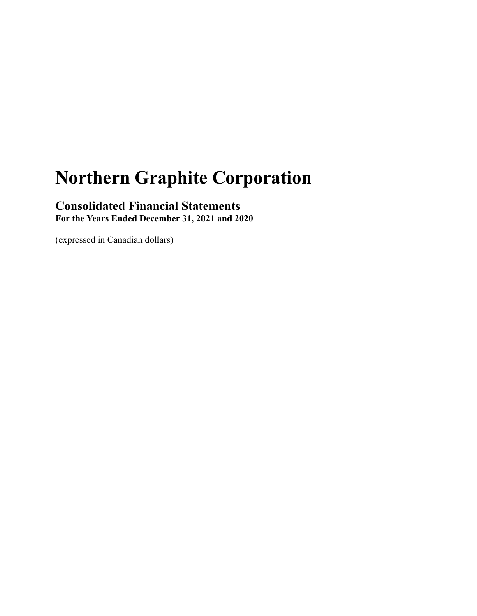# **Northern Graphite Corporation**

# **Consolidated Financial Statements**

**For the Years Ended December 31, 2021 and 2020**

(expressed in Canadian dollars)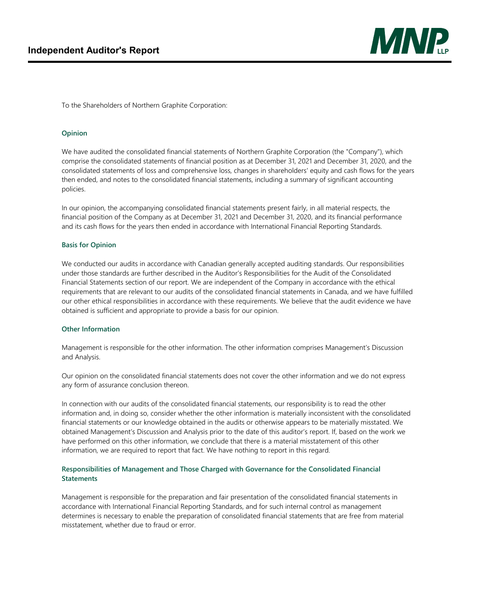

To the Shareholders of Northern Graphite Corporation:

#### **Opinion**

We have audited the consolidated financial statements of Northern Graphite Corporation (the "Company"), which comprise the consolidated statements of financial position as at December 31, 2021 and December 31, 2020, and the consolidated statements of loss and comprehensive loss, changes in shareholders' equity and cash flows for the years then ended, and notes to the consolidated financial statements, including a summary of significant accounting policies.

In our opinion, the accompanying consolidated financial statements present fairly, in all material respects, the financial position of the Company as at December 31, 2021 and December 31, 2020, and its financial performance and its cash flows for the years then ended in accordance with International Financial Reporting Standards.

#### **Basis for Opinion**

We conducted our audits in accordance with Canadian generally accepted auditing standards. Our responsibilities under those standards are further described in the Auditor's Responsibilities for the Audit of the Consolidated Financial Statements section of our report. We are independent of the Company in accordance with the ethical requirements that are relevant to our audits of the consolidated financial statements in Canada, and we have fulfilled our other ethical responsibilities in accordance with these requirements. We believe that the audit evidence we have obtained is sufficient and appropriate to provide a basis for our opinion.

#### **Other Information**

Management is responsible for the other information. The other information comprises Management's Discussion and Analysis.

Our opinion on the consolidated financial statements does not cover the other information and we do not express any form of assurance conclusion thereon.

In connection with our audits of the consolidated financial statements, our responsibility is to read the other information and, in doing so, consider whether the other information is materially inconsistent with the consolidated financial statements or our knowledge obtained in the audits or otherwise appears to be materially misstated. We obtained Management's Discussion and Analysis prior to the date of this auditor's report. If, based on the work we have performed on this other information, we conclude that there is a material misstatement of this other information, we are required to report that fact. We have nothing to report in this regard.

#### **Responsibilities of Management and Those Charged with Governance for the Consolidated Financial Statements**

Management is responsible for the preparation and fair presentation of the consolidated financial statements in accordance with International Financial Reporting Standards, and for such internal control as management determines is necessary to enable the preparation of consolidated financial statements that are free from material misstatement, whether due to fraud or error.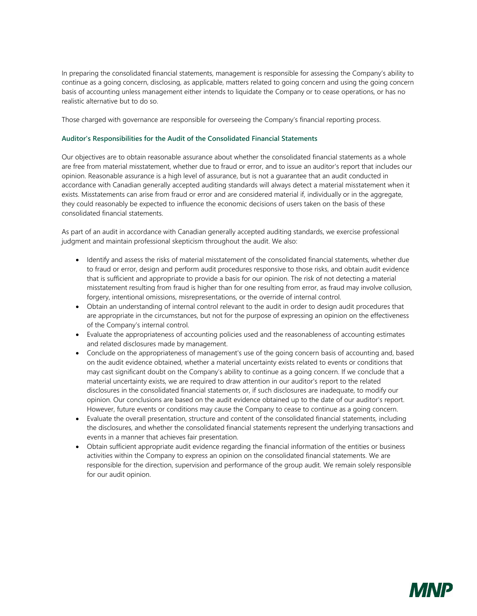In preparing the consolidated financial statements, management is responsible for assessing the Company's ability to continue as a going concern, disclosing, as applicable, matters related to going concern and using the going concern basis of accounting unless management either intends to liquidate the Company or to cease operations, or has no realistic alternative but to do so.

Those charged with governance are responsible for overseeing the Company's financial reporting process.

#### **Auditor's Responsibilities for the Audit of the Consolidated Financial Statements**

Our objectives are to obtain reasonable assurance about whether the consolidated financial statements as a whole are free from material misstatement, whether due to fraud or error, and to issue an auditor's report that includes our opinion. Reasonable assurance is a high level of assurance, but is not a guarantee that an audit conducted in accordance with Canadian generally accepted auditing standards will always detect a material misstatement when it exists. Misstatements can arise from fraud or error and are considered material if, individually or in the aggregate, they could reasonably be expected to influence the economic decisions of users taken on the basis of these consolidated financial statements.

As part of an audit in accordance with Canadian generally accepted auditing standards, we exercise professional judgment and maintain professional skepticism throughout the audit. We also:

- Identify and assess the risks of material misstatement of the consolidated financial statements, whether due to fraud or error, design and perform audit procedures responsive to those risks, and obtain audit evidence that is sufficient and appropriate to provide a basis for our opinion. The risk of not detecting a material misstatement resulting from fraud is higher than for one resulting from error, as fraud may involve collusion, forgery, intentional omissions, misrepresentations, or the override of internal control.
- Obtain an understanding of internal control relevant to the audit in order to design audit procedures that are appropriate in the circumstances, but not for the purpose of expressing an opinion on the effectiveness of the Company's internal control.
- Evaluate the appropriateness of accounting policies used and the reasonableness of accounting estimates and related disclosures made by management.
- Conclude on the appropriateness of management's use of the going concern basis of accounting and, based on the audit evidence obtained, whether a material uncertainty exists related to events or conditions that may cast significant doubt on the Company's ability to continue as a going concern. If we conclude that a material uncertainty exists, we are required to draw attention in our auditor's report to the related disclosures in the consolidated financial statements or, if such disclosures are inadequate, to modify our opinion. Our conclusions are based on the audit evidence obtained up to the date of our auditor's report. However, future events or conditions may cause the Company to cease to continue as a going concern.
- Evaluate the overall presentation, structure and content of the consolidated financial statements, including the disclosures, and whether the consolidated financial statements represent the underlying transactions and events in a manner that achieves fair presentation.
- Obtain sufficient appropriate audit evidence regarding the financial information of the entities or business activities within the Company to express an opinion on the consolidated financial statements. We are responsible for the direction, supervision and performance of the group audit. We remain solely responsible for our audit opinion.

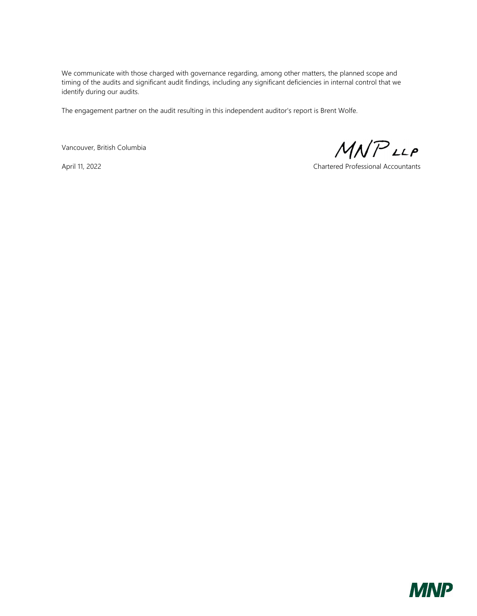We communicate with those charged with governance regarding, among other matters, the planned scope and timing of the audits and significant audit findings, including any significant deficiencies in internal control that we identify during our audits.

The engagement partner on the audit resulting in this independent auditor's report is Brent Wolfe.

Vancouver, British Columbia

MNPLLP

April 11, 2022 Chartered Professional Accountants

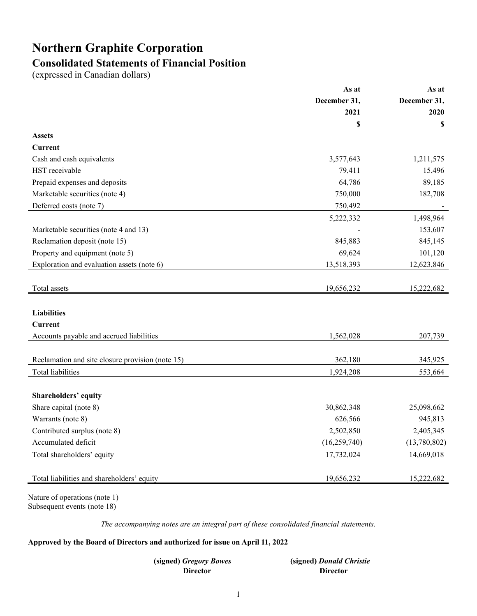# **Northern Graphite Corporation**

# **Consolidated Statements of Financial Position**

(expressed in Canadian dollars)

|                                                  | As at          | As at        |
|--------------------------------------------------|----------------|--------------|
|                                                  | December 31,   | December 31, |
|                                                  | 2021           | 2020         |
|                                                  | \$             | \$           |
| <b>Assets</b>                                    |                |              |
| Current                                          |                |              |
| Cash and cash equivalents                        | 3,577,643      | 1,211,575    |
| HST receivable                                   | 79,411         | 15,496       |
| Prepaid expenses and deposits                    | 64,786         | 89,185       |
| Marketable securities (note 4)                   | 750,000        | 182,708      |
| Deferred costs (note 7)                          | 750,492        |              |
|                                                  | 5,222,332      | 1,498,964    |
| Marketable securities (note 4 and 13)            |                | 153,607      |
| Reclamation deposit (note 15)                    | 845,883        | 845,145      |
| Property and equipment (note 5)                  | 69,624         | 101,120      |
| Exploration and evaluation assets (note 6)       | 13,518,393     | 12,623,846   |
|                                                  |                |              |
| Total assets                                     | 19,656,232     | 15,222,682   |
|                                                  |                |              |
| <b>Liabilities</b>                               |                |              |
| <b>Current</b>                                   |                |              |
| Accounts payable and accrued liabilities         | 1,562,028      | 207,739      |
|                                                  |                |              |
| Reclamation and site closure provision (note 15) | 362,180        | 345,925      |
| <b>Total liabilities</b>                         | 1,924,208      | 553,664      |
|                                                  |                |              |
| Shareholders' equity                             |                |              |
| Share capital (note 8)                           | 30,862,348     | 25,098,662   |
| Warrants (note 8)                                | 626,566        | 945,813      |
| Contributed surplus (note 8)                     | 2,502,850      | 2,405,345    |
| Accumulated deficit                              | (16, 259, 740) | (13,780,802) |
| Total shareholders' equity                       | 17,732,024     | 14,669,018   |
|                                                  |                |              |
| Total liabilities and shareholders' equity       | 19,656,232     | 15,222,682   |
|                                                  |                |              |

Nature of operations (note 1) Subsequent events (note 18)

*The accompanying notes are an integral part of these consolidated financial statements.*

#### **Approved by the Board of Directors and authorized for issue on April 11, 2022**

| (signed) Gregory Bowes | (signed) Donald Christie |
|------------------------|--------------------------|
| <b>Director</b>        | <b>Director</b>          |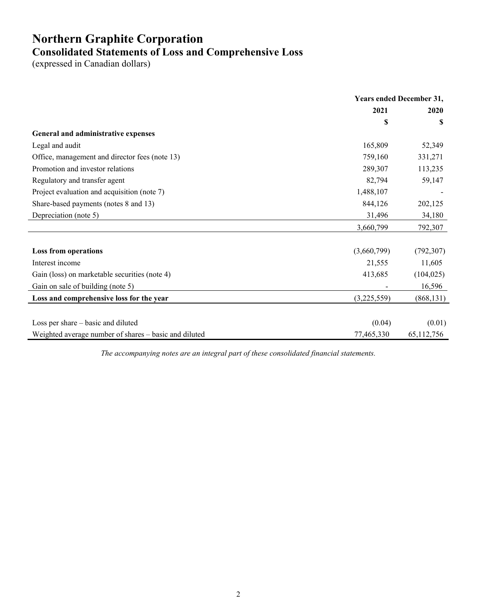# **Northern Graphite Corporation Consolidated Statements of Loss and Comprehensive Loss**

(expressed in Canadian dollars)

|                                                       | <b>Years ended December 31,</b> |            |
|-------------------------------------------------------|---------------------------------|------------|
|                                                       | 2021                            | 2020       |
|                                                       | S                               | S          |
| General and administrative expenses                   |                                 |            |
| Legal and audit                                       | 165,809                         | 52,349     |
| Office, management and director fees (note 13)        | 759,160                         | 331,271    |
| Promotion and investor relations                      | 289,307                         | 113,235    |
| Regulatory and transfer agent                         | 82,794                          | 59,147     |
| Project evaluation and acquisition (note 7)           | 1,488,107                       |            |
| Share-based payments (notes 8 and 13)                 | 844,126                         | 202,125    |
| Depreciation (note 5)                                 | 31,496                          | 34,180     |
|                                                       | 3,660,799                       | 792,307    |
|                                                       |                                 |            |
| <b>Loss from operations</b>                           | (3,660,799)                     | (792, 307) |
| Interest income                                       | 21,555                          | 11,605     |
| Gain (loss) on marketable securities (note 4)         | 413,685                         | (104, 025) |
| Gain on sale of building (note 5)                     |                                 | 16,596     |
| Loss and comprehensive loss for the year              | (3,225,559)                     | (868, 131) |
|                                                       |                                 |            |
| Loss per share – basic and diluted                    | (0.04)                          | (0.01)     |
| Weighted average number of shares - basic and diluted | 77,465,330                      | 65,112,756 |

*The accompanying notes are an integral part of these consolidated financial statements.*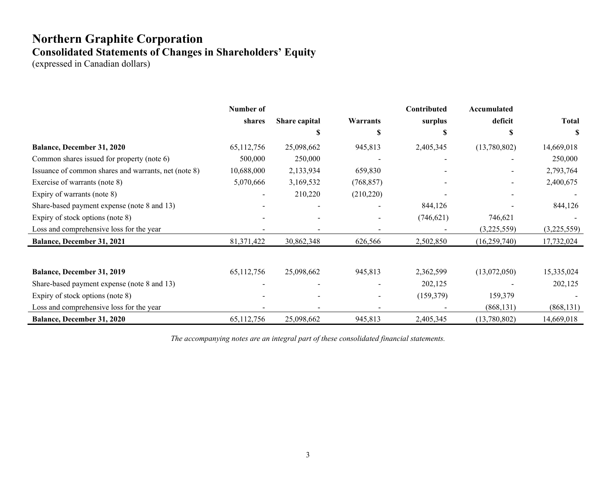# **Northern Graphite Corporation Consolidated Statements of Changes in Shareholders' Equity**

(expressed in Canadian dollars)

|                                                      | Number of    |               |            | Contributed | Accumulated    |              |
|------------------------------------------------------|--------------|---------------|------------|-------------|----------------|--------------|
|                                                      | shares       | Share capital | Warrants   | surplus     | deficit        | <b>Total</b> |
|                                                      |              |               | S          | S           | S              | S            |
| Balance, December 31, 2020                           | 65, 112, 756 | 25,098,662    | 945,813    | 2,405,345   | (13,780,802)   | 14,669,018   |
| Common shares issued for property (note 6)           | 500,000      | 250,000       |            |             |                | 250,000      |
| Issuance of common shares and warrants, net (note 8) | 10,688,000   | 2,133,934     | 659,830    |             |                | 2,793,764    |
| Exercise of warrants (note 8)                        | 5,070,666    | 3,169,532     | (768, 857) |             |                | 2,400,675    |
| Expiry of warrants (note 8)                          |              | 210,220       | (210, 220) |             |                |              |
| Share-based payment expense (note 8 and 13)          |              |               |            | 844,126     |                | 844,126      |
| Expiry of stock options (note 8)                     |              |               |            | (746, 621)  | 746,621        |              |
| Loss and comprehensive loss for the year             |              |               |            |             | (3,225,559)    | (3,225,559)  |
| Balance, December 31, 2021                           | 81,371,422   | 30,862,348    | 626,566    | 2,502,850   | (16, 259, 740) | 17,732,024   |
|                                                      |              |               |            |             |                |              |
| <b>Balance, December 31, 2019</b>                    | 65, 112, 756 | 25,098,662    | 945,813    | 2,362,599   | (13,072,050)   | 15,335,024   |
| Share-based payment expense (note 8 and 13)          |              |               |            | 202,125     |                | 202,125      |
| Expiry of stock options (note 8)                     |              |               |            | (159, 379)  | 159,379        |              |
| Loss and comprehensive loss for the year             |              |               |            |             | (868, 131)     | (868, 131)   |
| Balance, December 31, 2020                           | 65,112,756   | 25,098,662    | 945,813    | 2,405,345   | (13,780,802)   | 14,669,018   |

*The accompanying notes are an integral part of these consolidated financial statements.*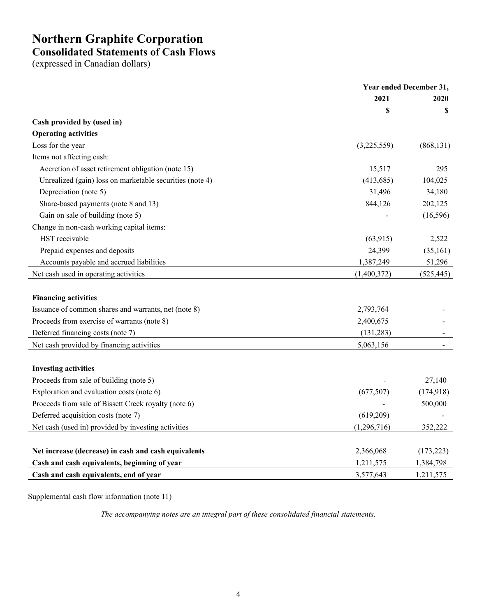# **Northern Graphite Corporation**

# **Consolidated Statements of Cash Flows**

(expressed in Canadian dollars)

| 2021<br>2020<br>\$<br>S<br>Cash provided by (used in)<br><b>Operating activities</b><br>Loss for the year<br>(868, 131)<br>(3,225,559)<br>Items not affecting cash:<br>Accretion of asset retirement obligation (note 15)<br>15,517<br>295<br>Unrealized (gain) loss on marketable securities (note 4)<br>(413, 685)<br>104,025<br>Depreciation (note 5)<br>31,496<br>34,180<br>Share-based payments (note 8 and 13)<br>844,126<br>202,125<br>Gain on sale of building (note 5)<br>(16, 596)<br>Change in non-cash working capital items:<br>HST receivable<br>(63, 915)<br>2,522<br>Prepaid expenses and deposits<br>24,399<br>(35,161)<br>Accounts payable and accrued liabilities<br>1,387,249<br>51,296<br>Net cash used in operating activities<br>(1,400,372)<br>(525, 445)<br><b>Financing activities</b><br>Issuance of common shares and warrants, net (note 8)<br>2,793,764<br>Proceeds from exercise of warrants (note 8)<br>2,400,675<br>Deferred financing costs (note 7)<br>(131, 283)<br>Net cash provided by financing activities<br>5,063,156<br><b>Investing activities</b><br>Proceeds from sale of building (note 5)<br>27,140<br>Exploration and evaluation costs (note 6)<br>(677, 507)<br>(174,918)<br>Proceeds from sale of Bissett Creek royalty (note 6)<br>500,000<br>Deferred acquisition costs (note 7)<br>(619,209)<br>Net cash (used in) provided by investing activities<br>(1,296,716)<br>352,222<br>Net increase (decrease) in cash and cash equivalents<br>2,366,068<br>(173, 223)<br>Cash and cash equivalents, beginning of year<br>1,211,575<br>1,384,798 | Year ended December 31, |  |
|-------------------------------------------------------------------------------------------------------------------------------------------------------------------------------------------------------------------------------------------------------------------------------------------------------------------------------------------------------------------------------------------------------------------------------------------------------------------------------------------------------------------------------------------------------------------------------------------------------------------------------------------------------------------------------------------------------------------------------------------------------------------------------------------------------------------------------------------------------------------------------------------------------------------------------------------------------------------------------------------------------------------------------------------------------------------------------------------------------------------------------------------------------------------------------------------------------------------------------------------------------------------------------------------------------------------------------------------------------------------------------------------------------------------------------------------------------------------------------------------------------------------------------------------------------------------------------------------------|-------------------------|--|
|                                                                                                                                                                                                                                                                                                                                                                                                                                                                                                                                                                                                                                                                                                                                                                                                                                                                                                                                                                                                                                                                                                                                                                                                                                                                                                                                                                                                                                                                                                                                                                                                 |                         |  |
|                                                                                                                                                                                                                                                                                                                                                                                                                                                                                                                                                                                                                                                                                                                                                                                                                                                                                                                                                                                                                                                                                                                                                                                                                                                                                                                                                                                                                                                                                                                                                                                                 |                         |  |
|                                                                                                                                                                                                                                                                                                                                                                                                                                                                                                                                                                                                                                                                                                                                                                                                                                                                                                                                                                                                                                                                                                                                                                                                                                                                                                                                                                                                                                                                                                                                                                                                 |                         |  |
|                                                                                                                                                                                                                                                                                                                                                                                                                                                                                                                                                                                                                                                                                                                                                                                                                                                                                                                                                                                                                                                                                                                                                                                                                                                                                                                                                                                                                                                                                                                                                                                                 |                         |  |
|                                                                                                                                                                                                                                                                                                                                                                                                                                                                                                                                                                                                                                                                                                                                                                                                                                                                                                                                                                                                                                                                                                                                                                                                                                                                                                                                                                                                                                                                                                                                                                                                 |                         |  |
|                                                                                                                                                                                                                                                                                                                                                                                                                                                                                                                                                                                                                                                                                                                                                                                                                                                                                                                                                                                                                                                                                                                                                                                                                                                                                                                                                                                                                                                                                                                                                                                                 |                         |  |
|                                                                                                                                                                                                                                                                                                                                                                                                                                                                                                                                                                                                                                                                                                                                                                                                                                                                                                                                                                                                                                                                                                                                                                                                                                                                                                                                                                                                                                                                                                                                                                                                 |                         |  |
|                                                                                                                                                                                                                                                                                                                                                                                                                                                                                                                                                                                                                                                                                                                                                                                                                                                                                                                                                                                                                                                                                                                                                                                                                                                                                                                                                                                                                                                                                                                                                                                                 |                         |  |
|                                                                                                                                                                                                                                                                                                                                                                                                                                                                                                                                                                                                                                                                                                                                                                                                                                                                                                                                                                                                                                                                                                                                                                                                                                                                                                                                                                                                                                                                                                                                                                                                 |                         |  |
|                                                                                                                                                                                                                                                                                                                                                                                                                                                                                                                                                                                                                                                                                                                                                                                                                                                                                                                                                                                                                                                                                                                                                                                                                                                                                                                                                                                                                                                                                                                                                                                                 |                         |  |
|                                                                                                                                                                                                                                                                                                                                                                                                                                                                                                                                                                                                                                                                                                                                                                                                                                                                                                                                                                                                                                                                                                                                                                                                                                                                                                                                                                                                                                                                                                                                                                                                 |                         |  |
|                                                                                                                                                                                                                                                                                                                                                                                                                                                                                                                                                                                                                                                                                                                                                                                                                                                                                                                                                                                                                                                                                                                                                                                                                                                                                                                                                                                                                                                                                                                                                                                                 |                         |  |
|                                                                                                                                                                                                                                                                                                                                                                                                                                                                                                                                                                                                                                                                                                                                                                                                                                                                                                                                                                                                                                                                                                                                                                                                                                                                                                                                                                                                                                                                                                                                                                                                 |                         |  |
|                                                                                                                                                                                                                                                                                                                                                                                                                                                                                                                                                                                                                                                                                                                                                                                                                                                                                                                                                                                                                                                                                                                                                                                                                                                                                                                                                                                                                                                                                                                                                                                                 |                         |  |
|                                                                                                                                                                                                                                                                                                                                                                                                                                                                                                                                                                                                                                                                                                                                                                                                                                                                                                                                                                                                                                                                                                                                                                                                                                                                                                                                                                                                                                                                                                                                                                                                 |                         |  |
|                                                                                                                                                                                                                                                                                                                                                                                                                                                                                                                                                                                                                                                                                                                                                                                                                                                                                                                                                                                                                                                                                                                                                                                                                                                                                                                                                                                                                                                                                                                                                                                                 |                         |  |
|                                                                                                                                                                                                                                                                                                                                                                                                                                                                                                                                                                                                                                                                                                                                                                                                                                                                                                                                                                                                                                                                                                                                                                                                                                                                                                                                                                                                                                                                                                                                                                                                 |                         |  |
|                                                                                                                                                                                                                                                                                                                                                                                                                                                                                                                                                                                                                                                                                                                                                                                                                                                                                                                                                                                                                                                                                                                                                                                                                                                                                                                                                                                                                                                                                                                                                                                                 |                         |  |
|                                                                                                                                                                                                                                                                                                                                                                                                                                                                                                                                                                                                                                                                                                                                                                                                                                                                                                                                                                                                                                                                                                                                                                                                                                                                                                                                                                                                                                                                                                                                                                                                 |                         |  |
|                                                                                                                                                                                                                                                                                                                                                                                                                                                                                                                                                                                                                                                                                                                                                                                                                                                                                                                                                                                                                                                                                                                                                                                                                                                                                                                                                                                                                                                                                                                                                                                                 |                         |  |
|                                                                                                                                                                                                                                                                                                                                                                                                                                                                                                                                                                                                                                                                                                                                                                                                                                                                                                                                                                                                                                                                                                                                                                                                                                                                                                                                                                                                                                                                                                                                                                                                 |                         |  |
|                                                                                                                                                                                                                                                                                                                                                                                                                                                                                                                                                                                                                                                                                                                                                                                                                                                                                                                                                                                                                                                                                                                                                                                                                                                                                                                                                                                                                                                                                                                                                                                                 |                         |  |
|                                                                                                                                                                                                                                                                                                                                                                                                                                                                                                                                                                                                                                                                                                                                                                                                                                                                                                                                                                                                                                                                                                                                                                                                                                                                                                                                                                                                                                                                                                                                                                                                 |                         |  |
|                                                                                                                                                                                                                                                                                                                                                                                                                                                                                                                                                                                                                                                                                                                                                                                                                                                                                                                                                                                                                                                                                                                                                                                                                                                                                                                                                                                                                                                                                                                                                                                                 |                         |  |
|                                                                                                                                                                                                                                                                                                                                                                                                                                                                                                                                                                                                                                                                                                                                                                                                                                                                                                                                                                                                                                                                                                                                                                                                                                                                                                                                                                                                                                                                                                                                                                                                 |                         |  |
|                                                                                                                                                                                                                                                                                                                                                                                                                                                                                                                                                                                                                                                                                                                                                                                                                                                                                                                                                                                                                                                                                                                                                                                                                                                                                                                                                                                                                                                                                                                                                                                                 |                         |  |
|                                                                                                                                                                                                                                                                                                                                                                                                                                                                                                                                                                                                                                                                                                                                                                                                                                                                                                                                                                                                                                                                                                                                                                                                                                                                                                                                                                                                                                                                                                                                                                                                 |                         |  |
|                                                                                                                                                                                                                                                                                                                                                                                                                                                                                                                                                                                                                                                                                                                                                                                                                                                                                                                                                                                                                                                                                                                                                                                                                                                                                                                                                                                                                                                                                                                                                                                                 |                         |  |
|                                                                                                                                                                                                                                                                                                                                                                                                                                                                                                                                                                                                                                                                                                                                                                                                                                                                                                                                                                                                                                                                                                                                                                                                                                                                                                                                                                                                                                                                                                                                                                                                 |                         |  |
|                                                                                                                                                                                                                                                                                                                                                                                                                                                                                                                                                                                                                                                                                                                                                                                                                                                                                                                                                                                                                                                                                                                                                                                                                                                                                                                                                                                                                                                                                                                                                                                                 |                         |  |
|                                                                                                                                                                                                                                                                                                                                                                                                                                                                                                                                                                                                                                                                                                                                                                                                                                                                                                                                                                                                                                                                                                                                                                                                                                                                                                                                                                                                                                                                                                                                                                                                 |                         |  |
| Cash and cash equivalents, end of year<br>3,577,643<br>1,211,575                                                                                                                                                                                                                                                                                                                                                                                                                                                                                                                                                                                                                                                                                                                                                                                                                                                                                                                                                                                                                                                                                                                                                                                                                                                                                                                                                                                                                                                                                                                                |                         |  |

Supplemental cash flow information (note 11)

*The accompanying notes are an integral part of these consolidated financial statements.*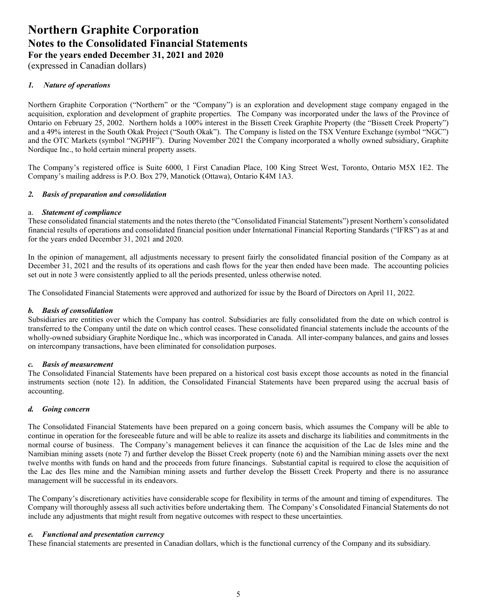**For the years ended December 31, 2021 and 2020**

(expressed in Canadian dollars)

#### *1. Nature of operations*

Northern Graphite Corporation ("Northern" or the "Company") is an exploration and development stage company engaged in the acquisition, exploration and development of graphite properties. The Company was incorporated under the laws of the Province of Ontario on February 25, 2002. Northern holds a 100% interest in the Bissett Creek Graphite Property (the "Bissett Creek Property") and a 49% interest in the South Okak Project ("South Okak"). The Company is listed on the TSX Venture Exchange (symbol "NGC") and the OTC Markets (symbol "NGPHF"). During November 2021 the Company incorporated a wholly owned subsidiary, Graphite Nordique Inc., to hold certain mineral property assets.

The Company's registered office is Suite 6000, 1 First Canadian Place, 100 King Street West, Toronto, Ontario M5X 1E2. The Company's mailing address is P.O. Box 279, Manotick (Ottawa), Ontario K4M 1A3.

#### *2. Basis of preparation and consolidation*

#### a. *Statement of compliance*

These consolidated financial statements and the notes thereto (the "Consolidated Financial Statements") present Northern's consolidated financial results of operations and consolidated financial position under International Financial Reporting Standards ("IFRS") as at and for the years ended December 31, 2021 and 2020.

In the opinion of management, all adjustments necessary to present fairly the consolidated financial position of the Company as at December 31, 2021 and the results of its operations and cash flows for the year then ended have been made. The accounting policies set out in note 3 were consistently applied to all the periods presented, unless otherwise noted.

The Consolidated Financial Statements were approved and authorized for issue by the Board of Directors on April 11, 2022.

#### *b. Basis of consolidation*

Subsidiaries are entities over which the Company has control. Subsidiaries are fully consolidated from the date on which control is transferred to the Company until the date on which control ceases. These consolidated financial statements include the accounts of the wholly-owned subsidiary Graphite Nordique Inc., which was incorporated in Canada. All inter-company balances, and gains and losses on intercompany transactions, have been eliminated for consolidation purposes.

#### *c. Basis of measurement*

The Consolidated Financial Statements have been prepared on a historical cost basis except those accounts as noted in the financial instruments section (note 12). In addition, the Consolidated Financial Statements have been prepared using the accrual basis of accounting.

#### *d. Going concern*

The Consolidated Financial Statements have been prepared on a going concern basis, which assumes the Company will be able to continue in operation for the foreseeable future and will be able to realize its assets and discharge its liabilities and commitments in the normal course of business. The Company's management believes it can finance the acquisition of the Lac de Isles mine and the Namibian mining assets (note 7) and further develop the Bisset Creek property (note 6) and the Namibian mining assets over the next twelve months with funds on hand and the proceeds from future financings. Substantial capital is required to close the acquisition of the Lac des Iles mine and the Namibian mining assets and further develop the Bissett Creek Property and there is no assurance management will be successful in its endeavors.

The Company's discretionary activities have considerable scope for flexibility in terms of the amount and timing of expenditures. The Company will thoroughly assess all such activities before undertaking them. The Company's Consolidated Financial Statements do not include any adjustments that might result from negative outcomes with respect to these uncertainties.

#### *e. Functional and presentation currency*

These financial statements are presented in Canadian dollars, which is the functional currency of the Company and its subsidiary.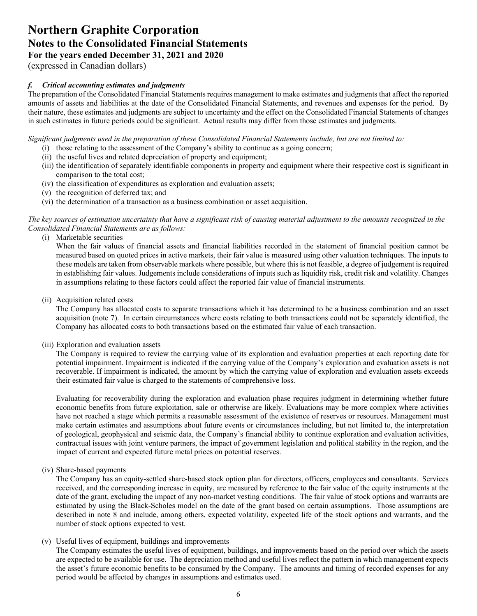### **For the years ended December 31, 2021 and 2020**

(expressed in Canadian dollars)

#### *f. Critical accounting estimates and judgments*

The preparation of the Consolidated Financial Statements requires management to make estimates and judgments that affect the reported amounts of assets and liabilities at the date of the Consolidated Financial Statements, and revenues and expenses for the period. By their nature, these estimates and judgments are subject to uncertainty and the effect on the Consolidated Financial Statements of changes in such estimates in future periods could be significant. Actual results may differ from those estimates and judgments.

*Significant judgments used in the preparation of these Consolidated Financial Statements include, but are not limited to:* 

- (i) those relating to the assessment of the Company's ability to continue as a going concern;
- (ii) the useful lives and related depreciation of property and equipment;
- (iii) the identification of separately identifiable components in property and equipment where their respective cost is significant in comparison to the total cost;
- (iv) the classification of expenditures as exploration and evaluation assets;
- (v) the recognition of deferred tax; and
- (vi) the determination of a transaction as a business combination or asset acquisition.

#### *The key sources of estimation uncertainty that have a significant risk of causing material adjustment to the amounts recognized in the Consolidated Financial Statements are as follows:*

(i) Marketable securities

When the fair values of financial assets and financial liabilities recorded in the statement of financial position cannot be measured based on quoted prices in active markets, their fair value is measured using other valuation techniques. The inputs to these models are taken from observable markets where possible, but where this is not feasible, a degree of judgement is required in establishing fair values. Judgements include considerations of inputs such as liquidity risk, credit risk and volatility. Changes in assumptions relating to these factors could affect the reported fair value of financial instruments.

(ii) Acquisition related costs

The Company has allocated costs to separate transactions which it has determined to be a business combination and an asset acquisition (note 7). In certain circumstances where costs relating to both transactions could not be separately identified, the Company has allocated costs to both transactions based on the estimated fair value of each transaction.

#### (iii) Exploration and evaluation assets

The Company is required to review the carrying value of its exploration and evaluation properties at each reporting date for potential impairment. Impairment is indicated if the carrying value of the Company's exploration and evaluation assets is not recoverable. If impairment is indicated, the amount by which the carrying value of exploration and evaluation assets exceeds their estimated fair value is charged to the statements of comprehensive loss.

Evaluating for recoverability during the exploration and evaluation phase requires judgment in determining whether future economic benefits from future exploitation, sale or otherwise are likely. Evaluations may be more complex where activities have not reached a stage which permits a reasonable assessment of the existence of reserves or resources. Management must make certain estimates and assumptions about future events or circumstances including, but not limited to, the interpretation of geological, geophysical and seismic data, the Company's financial ability to continue exploration and evaluation activities, contractual issues with joint venture partners, the impact of government legislation and political stability in the region, and the impact of current and expected future metal prices on potential reserves.

#### (iv) Share-based payments

The Company has an equity-settled share-based stock option plan for directors, officers, employees and consultants. Services received, and the corresponding increase in equity, are measured by reference to the fair value of the equity instruments at the date of the grant, excluding the impact of any non-market vesting conditions. The fair value of stock options and warrants are estimated by using the Black-Scholes model on the date of the grant based on certain assumptions. Those assumptions are described in note 8 and include, among others, expected volatility, expected life of the stock options and warrants, and the number of stock options expected to vest.

#### (v) Useful lives of equipment, buildings and improvements

The Company estimates the useful lives of equipment, buildings, and improvements based on the period over which the assets are expected to be available for use. The depreciation method and useful lives reflect the pattern in which management expects the asset's future economic benefits to be consumed by the Company. The amounts and timing of recorded expenses for any period would be affected by changes in assumptions and estimates used.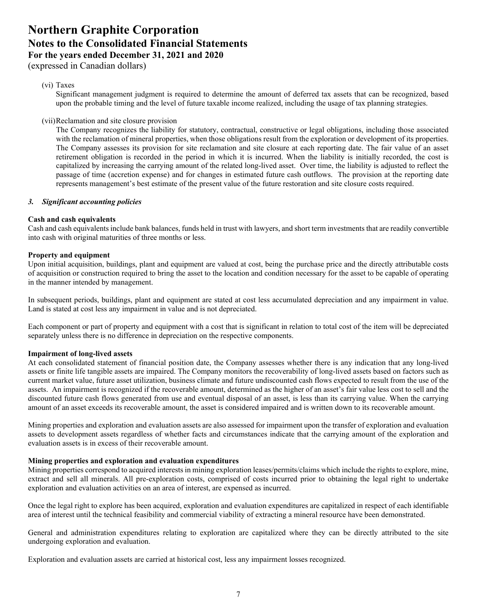(expressed in Canadian dollars)

#### (vi) Taxes

Significant management judgment is required to determine the amount of deferred tax assets that can be recognized, based upon the probable timing and the level of future taxable income realized, including the usage of tax planning strategies.

#### (vii)Reclamation and site closure provision

The Company recognizes the liability for statutory, contractual, constructive or legal obligations, including those associated with the reclamation of mineral properties, when those obligations result from the exploration or development of its properties. The Company assesses its provision for site reclamation and site closure at each reporting date. The fair value of an asset retirement obligation is recorded in the period in which it is incurred. When the liability is initially recorded, the cost is capitalized by increasing the carrying amount of the related long-lived asset. Over time, the liability is adjusted to reflect the passage of time (accretion expense) and for changes in estimated future cash outflows. The provision at the reporting date represents management's best estimate of the present value of the future restoration and site closure costs required.

#### *3. Significant accounting policies*

#### **Cash and cash equivalents**

Cash and cash equivalents include bank balances, funds held in trust with lawyers, and short term investments that are readily convertible into cash with original maturities of three months or less.

#### **Property and equipment**

Upon initial acquisition, buildings, plant and equipment are valued at cost, being the purchase price and the directly attributable costs of acquisition or construction required to bring the asset to the location and condition necessary for the asset to be capable of operating in the manner intended by management.

In subsequent periods, buildings, plant and equipment are stated at cost less accumulated depreciation and any impairment in value. Land is stated at cost less any impairment in value and is not depreciated.

Each component or part of property and equipment with a cost that is significant in relation to total cost of the item will be depreciated separately unless there is no difference in depreciation on the respective components.

#### **Impairment of long-lived assets**

At each consolidated statement of financial position date, the Company assesses whether there is any indication that any long-lived assets or finite life tangible assets are impaired. The Company monitors the recoverability of long-lived assets based on factors such as current market value, future asset utilization, business climate and future undiscounted cash flows expected to result from the use of the assets. An impairment is recognized if the recoverable amount, determined as the higher of an asset's fair value less cost to sell and the discounted future cash flows generated from use and eventual disposal of an asset, is less than its carrying value. When the carrying amount of an asset exceeds its recoverable amount, the asset is considered impaired and is written down to its recoverable amount.

Mining properties and exploration and evaluation assets are also assessed for impairment upon the transfer of exploration and evaluation assets to development assets regardless of whether facts and circumstances indicate that the carrying amount of the exploration and evaluation assets is in excess of their recoverable amount.

#### **Mining properties and exploration and evaluation expenditures**

Mining properties correspond to acquired interests in mining exploration leases/permits/claims which include the rights to explore, mine, extract and sell all minerals. All pre-exploration costs, comprised of costs incurred prior to obtaining the legal right to undertake exploration and evaluation activities on an area of interest, are expensed as incurred.

Once the legal right to explore has been acquired, exploration and evaluation expenditures are capitalized in respect of each identifiable area of interest until the technical feasibility and commercial viability of extracting a mineral resource have been demonstrated.

General and administration expenditures relating to exploration are capitalized where they can be directly attributed to the site undergoing exploration and evaluation.

Exploration and evaluation assets are carried at historical cost, less any impairment losses recognized.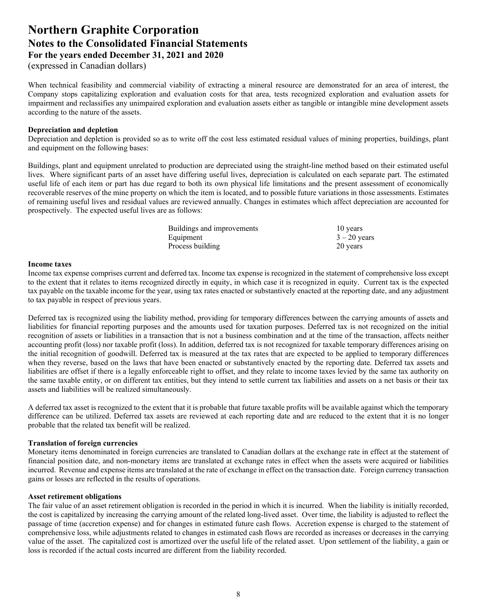(expressed in Canadian dollars)

When technical feasibility and commercial viability of extracting a mineral resource are demonstrated for an area of interest, the Company stops capitalizing exploration and evaluation costs for that area, tests recognized exploration and evaluation assets for impairment and reclassifies any unimpaired exploration and evaluation assets either as tangible or intangible mine development assets according to the nature of the assets.

#### **Depreciation and depletion**

Depreciation and depletion is provided so as to write off the cost less estimated residual values of mining properties, buildings, plant and equipment on the following bases:

Buildings, plant and equipment unrelated to production are depreciated using the straight-line method based on their estimated useful lives. Where significant parts of an asset have differing useful lives, depreciation is calculated on each separate part. The estimated useful life of each item or part has due regard to both its own physical life limitations and the present assessment of economically recoverable reserves of the mine property on which the item is located, and to possible future variations in those assessments. Estimates of remaining useful lives and residual values are reviewed annually. Changes in estimates which affect depreciation are accounted for prospectively. The expected useful lives are as follows:

| Buildings and improvements | 10 years       |
|----------------------------|----------------|
| Equipment                  | $3 - 20$ years |
| Process building           | 20 years       |

#### **Income taxes**

Income tax expense comprises current and deferred tax. Income tax expense is recognized in the statement of comprehensive loss except to the extent that it relates to items recognized directly in equity, in which case it is recognized in equity. Current tax is the expected tax payable on the taxable income for the year, using tax rates enacted or substantively enacted at the reporting date, and any adjustment to tax payable in respect of previous years.

Deferred tax is recognized using the liability method, providing for temporary differences between the carrying amounts of assets and liabilities for financial reporting purposes and the amounts used for taxation purposes. Deferred tax is not recognized on the initial recognition of assets or liabilities in a transaction that is not a business combination and at the time of the transaction, affects neither accounting profit (loss) nor taxable profit (loss). In addition, deferred tax is not recognized for taxable temporary differences arising on the initial recognition of goodwill. Deferred tax is measured at the tax rates that are expected to be applied to temporary differences when they reverse, based on the laws that have been enacted or substantively enacted by the reporting date. Deferred tax assets and liabilities are offset if there is a legally enforceable right to offset, and they relate to income taxes levied by the same tax authority on the same taxable entity, or on different tax entities, but they intend to settle current tax liabilities and assets on a net basis or their tax assets and liabilities will be realized simultaneously.

A deferred tax asset is recognized to the extent that it is probable that future taxable profits will be available against which the temporary difference can be utilized. Deferred tax assets are reviewed at each reporting date and are reduced to the extent that it is no longer probable that the related tax benefit will be realized.

#### **Translation of foreign currencies**

Monetary items denominated in foreign currencies are translated to Canadian dollars at the exchange rate in effect at the statement of financial position date, and non-monetary items are translated at exchange rates in effect when the assets were acquired or liabilities incurred. Revenue and expense items are translated at the rate of exchange in effect on the transaction date. Foreign currency transaction gains or losses are reflected in the results of operations.

#### **Asset retirement obligations**

The fair value of an asset retirement obligation is recorded in the period in which it is incurred. When the liability is initially recorded, the cost is capitalized by increasing the carrying amount of the related long-lived asset. Over time, the liability is adjusted to reflect the passage of time (accretion expense) and for changes in estimated future cash flows. Accretion expense is charged to the statement of comprehensive loss, while adjustments related to changes in estimated cash flows are recorded as increases or decreases in the carrying value of the asset. The capitalized cost is amortized over the useful life of the related asset. Upon settlement of the liability, a gain or loss is recorded if the actual costs incurred are different from the liability recorded.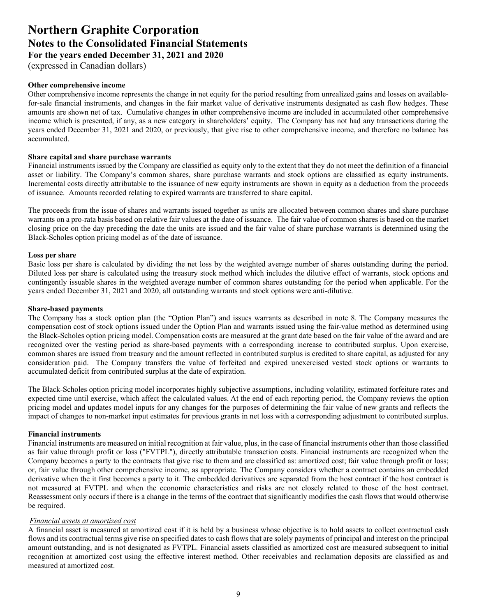(expressed in Canadian dollars)

#### **Other comprehensive income**

Other comprehensive income represents the change in net equity for the period resulting from unrealized gains and losses on availablefor-sale financial instruments, and changes in the fair market value of derivative instruments designated as cash flow hedges. These amounts are shown net of tax. Cumulative changes in other comprehensive income are included in accumulated other comprehensive income which is presented, if any, as a new category in shareholders' equity. The Company has not had any transactions during the years ended December 31, 2021 and 2020, or previously, that give rise to other comprehensive income, and therefore no balance has accumulated.

#### **Share capital and share purchase warrants**

Financial instruments issued by the Company are classified as equity only to the extent that they do not meet the definition of a financial asset or liability. The Company's common shares, share purchase warrants and stock options are classified as equity instruments. Incremental costs directly attributable to the issuance of new equity instruments are shown in equity as a deduction from the proceeds of issuance. Amounts recorded relating to expired warrants are transferred to share capital.

The proceeds from the issue of shares and warrants issued together as units are allocated between common shares and share purchase warrants on a pro-rata basis based on relative fair values at the date of issuance. The fair value of common shares is based on the market closing price on the day preceding the date the units are issued and the fair value of share purchase warrants is determined using the Black-Scholes option pricing model as of the date of issuance.

#### **Loss per share**

Basic loss per share is calculated by dividing the net loss by the weighted average number of shares outstanding during the period. Diluted loss per share is calculated using the treasury stock method which includes the dilutive effect of warrants, stock options and contingently issuable shares in the weighted average number of common shares outstanding for the period when applicable. For the years ended December 31, 2021 and 2020, all outstanding warrants and stock options were anti-dilutive.

#### **Share-based payments**

The Company has a stock option plan (the "Option Plan") and issues warrants as described in note 8. The Company measures the compensation cost of stock options issued under the Option Plan and warrants issued using the fair-value method as determined using the Black-Scholes option pricing model. Compensation costs are measured at the grant date based on the fair value of the award and are recognized over the vesting period as share-based payments with a corresponding increase to contributed surplus. Upon exercise, common shares are issued from treasury and the amount reflected in contributed surplus is credited to share capital, as adjusted for any consideration paid. The Company transfers the value of forfeited and expired unexercised vested stock options or warrants to accumulated deficit from contributed surplus at the date of expiration.

The Black-Scholes option pricing model incorporates highly subjective assumptions, including volatility, estimated forfeiture rates and expected time until exercise, which affect the calculated values. At the end of each reporting period, the Company reviews the option pricing model and updates model inputs for any changes for the purposes of determining the fair value of new grants and reflects the impact of changes to non-market input estimates for previous grants in net loss with a corresponding adjustment to contributed surplus.

#### **Financial instruments**

Financial instruments are measured on initial recognition at fair value, plus, in the case of financial instruments other than those classified as fair value through profit or loss ("FVTPL"), directly attributable transaction costs. Financial instruments are recognized when the Company becomes a party to the contracts that give rise to them and are classified as: amortized cost; fair value through profit or loss; or, fair value through other comprehensive income, as appropriate. The Company considers whether a contract contains an embedded derivative when the it first becomes a party to it. The embedded derivatives are separated from the host contract if the host contract is not measured at FVTPL and when the economic characteristics and risks are not closely related to those of the host contract. Reassessment only occurs if there is a change in the terms of the contract that significantly modifies the cash flows that would otherwise be required.

#### *Financial assets at amortized cost*

A financial asset is measured at amortized cost if it is held by a business whose objective is to hold assets to collect contractual cash flows and its contractual terms give rise on specified dates to cash flows that are solely payments of principal and interest on the principal amount outstanding, and is not designated as FVTPL. Financial assets classified as amortized cost are measured subsequent to initial recognition at amortized cost using the effective interest method. Other receivables and reclamation deposits are classified as and measured at amortized cost.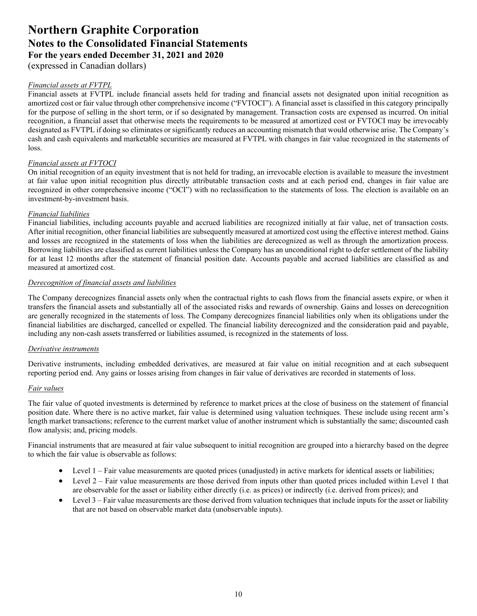(expressed in Canadian dollars)

#### *Financial assets at FVTPL*

Financial assets at FVTPL include financial assets held for trading and financial assets not designated upon initial recognition as amortized cost or fair value through other comprehensive income ("FVTOCI"). A financial asset is classified in this category principally for the purpose of selling in the short term, or if so designated by management. Transaction costs are expensed as incurred. On initial recognition, a financial asset that otherwise meets the requirements to be measured at amortized cost or FVTOCI may be irrevocably designated as FVTPL if doing so eliminates or significantly reduces an accounting mismatch that would otherwise arise. The Company's cash and cash equivalents and marketable securities are measured at FVTPL with changes in fair value recognized in the statements of loss.

#### *Financial assets at FVTOCI*

On initial recognition of an equity investment that is not held for trading, an irrevocable election is available to measure the investment at fair value upon initial recognition plus directly attributable transaction costs and at each period end, changes in fair value are recognized in other comprehensive income ("OCI") with no reclassification to the statements of loss. The election is available on an investment-by-investment basis.

#### *Financial liabilities*

Financial liabilities, including accounts payable and accrued liabilities are recognized initially at fair value, net of transaction costs. After initial recognition, other financial liabilities are subsequently measured at amortized cost using the effective interest method. Gains and losses are recognized in the statements of loss when the liabilities are derecognized as well as through the amortization process. Borrowing liabilities are classified as current liabilities unless the Company has an unconditional right to defer settlement of the liability for at least 12 months after the statement of financial position date. Accounts payable and accrued liabilities are classified as and measured at amortized cost.

#### *Derecognition of financial assets and liabilities*

The Company derecognizes financial assets only when the contractual rights to cash flows from the financial assets expire, or when it transfers the financial assets and substantially all of the associated risks and rewards of ownership. Gains and losses on derecognition are generally recognized in the statements of loss. The Company derecognizes financial liabilities only when its obligations under the financial liabilities are discharged, cancelled or expelled. The financial liability derecognized and the consideration paid and payable, including any non-cash assets transferred or liabilities assumed, is recognized in the statements of loss.

#### *Derivative instruments*

Derivative instruments, including embedded derivatives, are measured at fair value on initial recognition and at each subsequent reporting period end. Any gains or losses arising from changes in fair value of derivatives are recorded in statements of loss.

#### *Fair values*

The fair value of quoted investments is determined by reference to market prices at the close of business on the statement of financial position date. Where there is no active market, fair value is determined using valuation techniques. These include using recent arm's length market transactions; reference to the current market value of another instrument which is substantially the same; discounted cash flow analysis; and, pricing models.

Financial instruments that are measured at fair value subsequent to initial recognition are grouped into a hierarchy based on the degree to which the fair value is observable as follows:

- Level 1 Fair value measurements are quoted prices (unadjusted) in active markets for identical assets or liabilities;
- Level 2 Fair value measurements are those derived from inputs other than quoted prices included within Level 1 that are observable for the asset or liability either directly (i.e. as prices) or indirectly (i.e. derived from prices); and
- Level 3 Fair value measurements are those derived from valuation techniques that include inputs for the asset or liability that are not based on observable market data (unobservable inputs).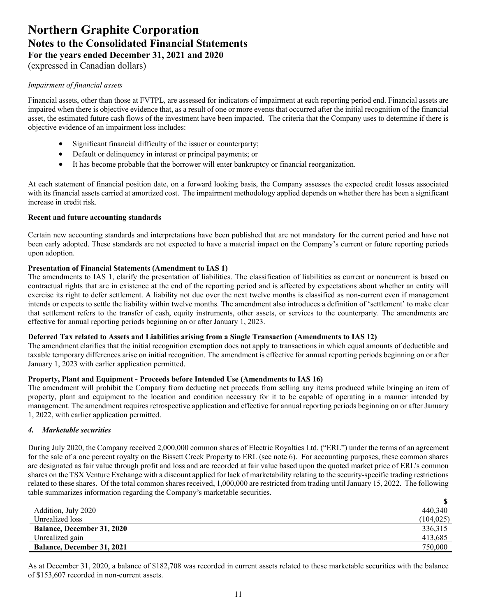(expressed in Canadian dollars)

#### *Impairment of financial assets*

Financial assets, other than those at FVTPL, are assessed for indicators of impairment at each reporting period end. Financial assets are impaired when there is objective evidence that, as a result of one or more events that occurred after the initial recognition of the financial asset, the estimated future cash flows of the investment have been impacted. The criteria that the Company uses to determine if there is objective evidence of an impairment loss includes:

- Significant financial difficulty of the issuer or counterparty;
- Default or delinquency in interest or principal payments; or
- It has become probable that the borrower will enter bankruptcy or financial reorganization.

At each statement of financial position date, on a forward looking basis, the Company assesses the expected credit losses associated with its financial assets carried at amortized cost. The impairment methodology applied depends on whether there has been a significant increase in credit risk.

#### **Recent and future accounting standards**

Certain new accounting standards and interpretations have been published that are not mandatory for the current period and have not been early adopted. These standards are not expected to have a material impact on the Company's current or future reporting periods upon adoption.

#### **Presentation of Financial Statements (Amendment to IAS 1)**

The amendments to IAS 1, clarify the presentation of liabilities. The classification of liabilities as current or noncurrent is based on contractual rights that are in existence at the end of the reporting period and is affected by expectations about whether an entity will exercise its right to defer settlement. A liability not due over the next twelve months is classified as non-current even if management intends or expects to settle the liability within twelve months. The amendment also introduces a definition of 'settlement' to make clear that settlement refers to the transfer of cash, equity instruments, other assets, or services to the counterparty. The amendments are effective for annual reporting periods beginning on or after January 1, 2023.

#### **Deferred Tax related to Assets and Liabilities arising from a Single Transaction (Amendments to IAS 12)**

The amendment clarifies that the initial recognition exemption does not apply to transactions in which equal amounts of deductible and taxable temporary differences arise on initial recognition. The amendment is effective for annual reporting periods beginning on or after January 1, 2023 with earlier application permitted.

#### **Property, Plant and Equipment - Proceeds before Intended Use (Amendments to IAS 16)**

The amendment will prohibit the Company from deducting net proceeds from selling any items produced while bringing an item of property, plant and equipment to the location and condition necessary for it to be capable of operating in a manner intended by management. The amendment requires retrospective application and effective for annual reporting periods beginning on or after January 1, 2022, with earlier application permitted.

#### *4. Marketable securities*

During July 2020, the Company received 2,000,000 common shares of Electric Royalties Ltd. ("ERL") under the terms of an agreement for the sale of a one percent royalty on the Bissett Creek Property to ERL (see note 6). For accounting purposes, these common shares are designated as fair value through profit and loss and are recorded at fair value based upon the quoted market price of ERL's common shares on the TSX Venture Exchange with a discount applied for lack of marketability relating to the security-specific trading restrictions related to these shares. Of the total common shares received, 1,000,000 are restricted from trading until January 15, 2022. The following table summarizes information regarding the Company's marketable securities.

| Addition, July 2020               | 440,340    |
|-----------------------------------|------------|
| Unrealized loss                   | (104, 025) |
| <b>Balance, December 31, 2020</b> | 336,315    |
| Unrealized gain                   | 413,685    |
| <b>Balance, December 31, 2021</b> | 750,000    |

As at December 31, 2020, a balance of \$182,708 was recorded in current assets related to these marketable securities with the balance of \$153,607 recorded in non-current assets.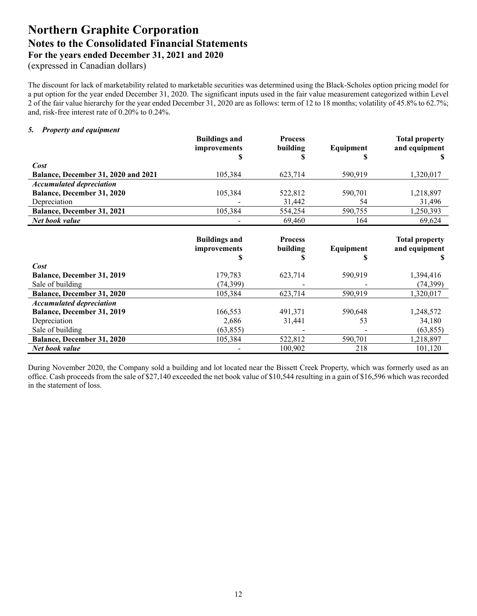(expressed in Canadian dollars)

The discount for lack of marketability related to marketable securities was determined using the Black-Scholes option pricing model for a put option for the year ended December 31, 2020. The significant inputs used in the fair value measurement categorized within Level 2 of the fair value hierarchy for the year ended December 31, 2020 are as follows: term of 12 to 18 months; volatility of 45.8% to 62.7%; and, risk-free interest rate of 0.20% to 0.24%.

#### *5. Property and equipment*

|                                     | <b>Buildings and</b><br>improvements | <b>Process</b><br>building | Equipment | <b>Total property</b><br>and equipment |
|-------------------------------------|--------------------------------------|----------------------------|-----------|----------------------------------------|
| Cost                                |                                      |                            |           |                                        |
| Balance, December 31, 2020 and 2021 | 105.384                              | 623.714                    | 590.919   | 1,320,017                              |
| <b>Accumulated depreciation</b>     |                                      |                            |           |                                        |
| <b>Balance, December 31, 2020</b>   | 105,384                              | 522,812                    | 590,701   | 1,218,897                              |
| Depreciation                        |                                      | 31,442                     | 54        | 31,496                                 |
| <b>Balance, December 31, 2021</b>   | 105.384                              | 554,254                    | 590,755   | 1,250,393                              |
| Net book value                      |                                      | 69.460                     | 164       | 69.624                                 |

|                                   | <b>Buildings and</b><br><i>improvements</i><br>S | <b>Process</b><br>building | Equipment | <b>Total property</b><br>and equipment |
|-----------------------------------|--------------------------------------------------|----------------------------|-----------|----------------------------------------|
| Cost                              |                                                  |                            |           |                                        |
| <b>Balance, December 31, 2019</b> | 179,783                                          | 623.714                    | 590.919   | 1,394,416                              |
| Sale of building                  | (74, 399)                                        |                            |           | (74, 399)                              |
| <b>Balance, December 31, 2020</b> | 105,384                                          | 623,714                    | 590,919   | 1,320,017                              |
| <b>Accumulated depreciation</b>   |                                                  |                            |           |                                        |
| Balance, December 31, 2019        | 166,553                                          | 491,371                    | 590.648   | 1,248,572                              |
| Depreciation                      | 2,686                                            | 31,441                     | 53        | 34,180                                 |
| Sale of building                  | (63, 855)                                        |                            |           | (63, 855)                              |
| <b>Balance, December 31, 2020</b> | 105,384                                          | 522,812                    | 590,701   | 1,218,897                              |
| Net book value                    |                                                  | 100,902                    | 218       | 101,120                                |

During November 2020, the Company sold a building and lot located near the Bissett Creek Property, which was formerly used as an office. Cash proceeds from the sale of \$27,140 exceeded the net book value of \$10,544 resulting in a gain of \$16,596 which was recorded in the statement of loss.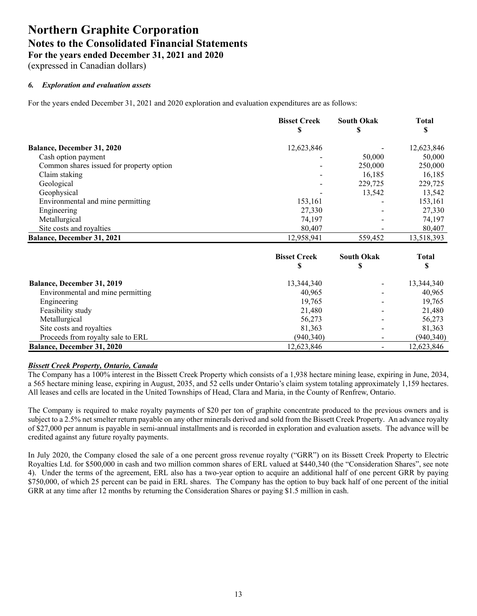**For the years ended December 31, 2021 and 2020** 

(expressed in Canadian dollars)

#### *6. Exploration and evaluation assets*

For the years ended December 31, 2021 and 2020 exploration and evaluation expenditures are as follows:

|                                          | <b>Bisset Creek</b><br>ъ | <b>South Okak</b> | <b>Total</b><br>S |
|------------------------------------------|--------------------------|-------------------|-------------------|
| <b>Balance, December 31, 2020</b>        | 12,623,846               |                   | 12,623,846        |
| Cash option payment                      |                          | 50,000            | 50,000            |
| Common shares issued for property option |                          | 250,000           | 250,000           |
| Claim staking                            |                          | 16.185            | 16.185            |
| Geological                               |                          | 229,725           | 229,725           |
| Geophysical                              |                          | 13.542            | 13,542            |
| Environmental and mine permitting        | 153,161                  |                   | 153,161           |
| Engineering                              | 27,330                   |                   | 27,330            |
| Metallurgical                            | 74.197                   |                   | 74.197            |
| Site costs and royalties                 | 80,407                   |                   | 80,407            |
| <b>Balance, December 31, 2021</b>        | 12,958,941               | 559,452           | 13,518,393        |

|                                   | <b>Bisset Creek</b><br>\$ | <b>South Okak</b><br>\$ | <b>Total</b> |
|-----------------------------------|---------------------------|-------------------------|--------------|
| <b>Balance, December 31, 2019</b> | 13,344,340                |                         | 13,344,340   |
| Environmental and mine permitting | 40,965                    |                         | 40,965       |
| Engineering                       | 19,765                    |                         | 19,765       |
| Feasibility study                 | 21,480                    |                         | 21,480       |
| Metallurgical                     | 56,273                    |                         | 56,273       |
| Site costs and royalties          | 81,363                    |                         | 81,363       |
| Proceeds from royalty sale to ERL | (940, 340)                |                         | (940, 340)   |
| <b>Balance, December 31, 2020</b> | 12,623,846                |                         | 12,623,846   |

#### *Bissett Creek Property, Ontario, Canada*

The Company has a 100% interest in the Bissett Creek Property which consists of a 1,938 hectare mining lease, expiring in June, 2034, a 565 hectare mining lease, expiring in August, 2035, and 52 cells under Ontario's claim system totaling approximately 1,159 hectares. All leases and cells are located in the United Townships of Head, Clara and Maria, in the County of Renfrew, Ontario.

The Company is required to make royalty payments of \$20 per ton of graphite concentrate produced to the previous owners and is subject to a 2.5% net smelter return payable on any other minerals derived and sold from the Bissett Creek Property. An advance royalty of \$27,000 per annum is payable in semi-annual installments and is recorded in exploration and evaluation assets. The advance will be credited against any future royalty payments.

In July 2020, the Company closed the sale of a one percent gross revenue royalty ("GRR") on its Bissett Creek Property to Electric Royalties Ltd. for \$500,000 in cash and two million common shares of ERL valued at \$440,340 (the "Consideration Shares", see note 4). Under the terms of the agreement, ERL also has a two-year option to acquire an additional half of one percent GRR by paying \$750,000, of which 25 percent can be paid in ERL shares. The Company has the option to buy back half of one percent of the initial GRR at any time after 12 months by returning the Consideration Shares or paying \$1.5 million in cash.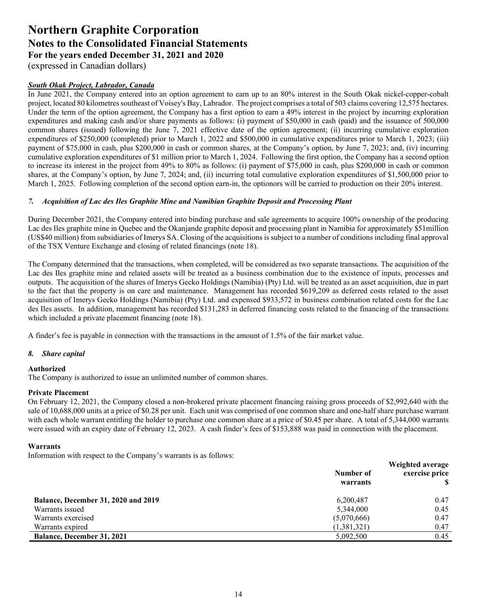(expressed in Canadian dollars)

#### *South Okak Project, Labrador, Canada*

In June 2021, the Company entered into an option agreement to earn up to an 80% interest in the South Okak nickel-copper-cobalt project, located 80 kilometres southeast of Voisey's Bay, Labrador. The project comprises a total of 503 claims covering 12,575 hectares. Under the term of the option agreement, the Company has a first option to earn a 49% interest in the project by incurring exploration expenditures and making cash and/or share payments as follows: (i) payment of \$50,000 in cash (paid) and the issuance of 500,000 common shares (issued) following the June 7, 2021 effective date of the option agreement; (ii) incurring cumulative exploration expenditures of \$250,000 (completed) prior to March 1, 2022 and \$500,000 in cumulative expenditures prior to March 1, 2023; (iii) payment of \$75,000 in cash, plus \$200,000 in cash or common shares, at the Company's option, by June 7, 2023; and, (iv) incurring cumulative exploration expenditures of \$1 million prior to March 1, 2024. Following the first option, the Company has a second option to increase its interest in the project from 49% to 80% as follows: (i) payment of \$75,000 in cash, plus \$200,000 in cash or common shares, at the Company's option, by June 7, 2024; and, (ii) incurring total cumulative exploration expenditures of \$1,500,000 prior to March 1, 2025. Following completion of the second option earn-in, the optionors will be carried to production on their 20% interest.

#### *7. Acquisition of Lac des Iles Graphite Mine and Namibian Graphite Deposit and Processing Plant*

During December 2021, the Company entered into binding purchase and sale agreements to acquire 100% ownership of the producing Lac des Iles graphite mine in Quebec and the Okanjande graphite deposit and processing plant in Namibia for approximately \$51million (US\$40 million) from subsidiaries of Imerys SA. Closing of the acquisitions is subject to a number of conditions including final approval of the TSX Venture Exchange and closing of related financings (note 18).

The Company determined that the transactions, when completed, will be considered as two separate transactions. The acquisition of the Lac des Iles graphite mine and related assets will be treated as a business combination due to the existence of inputs, processes and outputs. The acquisition of the shares of Imerys Gecko Holdings (Namibia) (Pty) Ltd. will be treated as an asset acquisition, due in part to the fact that the property is on care and maintenance. Management has recorded \$619,209 as deferred costs related to the asset acquisition of Imerys Gecko Holdings (Namibia) (Pty) Ltd. and expensed \$933,572 in business combination related costs for the Lac des Iles assets. In addition, management has recorded \$131,283 in deferred financing costs related to the financing of the transactions which included a private placement financing (note 18).

A finder's fee is payable in connection with the transactions in the amount of 1.5% of the fair market value.

#### *8. Share capital*

#### **Authorized**

The Company is authorized to issue an unlimited number of common shares.

#### **Private Placement**

On February 12, 2021, the Company closed a non-brokered private placement financing raising gross proceeds of \$2,992,640 with the sale of 10,688,000 units at a price of \$0.28 per unit. Each unit was comprised of one common share and one-half share purchase warrant with each whole warrant entitling the holder to purchase one common share at a price of \$0.45 per share. A total of 5,344,000 warrants were issued with an expiry date of February 12, 2023. A cash finder's fees of \$153,888 was paid in connection with the placement.

#### **Warrants**

Information with respect to the Company's warrants is as follows:

|                                            | Number of<br>warrants | Weighted average<br>exercise price |
|--------------------------------------------|-----------------------|------------------------------------|
| <b>Balance, December 31, 2020 and 2019</b> | 6,200,487             | 0.47                               |
| Warrants issued                            | 5,344,000             | 0.45                               |
| Warrants exercised                         | (5,070,666)           | 0.47                               |
| Warrants expired                           | (1,381,321)           | 0.47                               |
| <b>Balance, December 31, 2021</b>          | 5,092,500             | 0.45                               |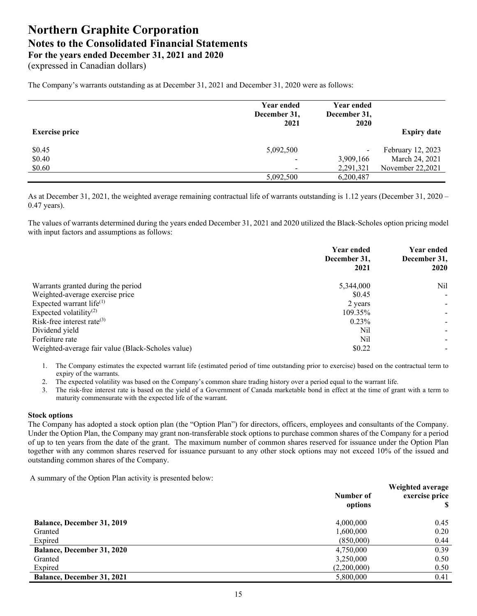(expressed in Canadian dollars)

The Company's warrants outstanding as at December 31, 2021 and December 31, 2020 were as follows:

|                       | <b>Year ended</b><br>December 31,<br>2021 | Year ended<br>December 31,<br>2020 |                    |
|-----------------------|-------------------------------------------|------------------------------------|--------------------|
| <b>Exercise price</b> |                                           |                                    | <b>Expiry date</b> |
| \$0.45                | 5,092,500                                 |                                    | February 12, 2023  |
| \$0.40                |                                           | 3,909,166                          | March 24, 2021     |
| \$0.60                |                                           | 2,291,321                          | November 22,2021   |
|                       | 5,092,500                                 | 6,200,487                          |                    |

As at December 31, 2021, the weighted average remaining contractual life of warrants outstanding is 1.12 years (December 31, 2020 – 0.47 years).

The values of warrants determined during the years ended December 31, 2021 and 2020 utilized the Black-Scholes option pricing model with input factors and assumptions as follows:

|                                                   | <b>Year ended</b><br>December 31,<br>2021 | Year ended<br>December 31,<br>2020 |
|---------------------------------------------------|-------------------------------------------|------------------------------------|
| Warrants granted during the period                | 5,344,000                                 | Nil                                |
| Weighted-average exercise price                   | \$0.45                                    | $\overline{\phantom{a}}$           |
| Expected warrant life $^{(1)}$                    | 2 years                                   | $\overline{\phantom{a}}$           |
| Expected volatility <sup>(2)</sup>                | 109.35%                                   |                                    |
| Risk-free interest rate $(3)$                     | 0.23%                                     |                                    |
| Dividend yield                                    | Nil                                       |                                    |
| Forfeiture rate                                   | Nil                                       |                                    |
| Weighted-average fair value (Black-Scholes value) | \$0.22                                    |                                    |

1. The Company estimates the expected warrant life (estimated period of time outstanding prior to exercise) based on the contractual term to expiry of the warrants.

2. The expected volatility was based on the Company's common share trading history over a period equal to the warrant life.

3. The risk-free interest rate is based on the yield of a Government of Canada marketable bond in effect at the time of grant with a term to maturity commensurate with the expected life of the warrant.

#### **Stock options**

The Company has adopted a stock option plan (the "Option Plan") for directors, officers, employees and consultants of the Company. Under the Option Plan, the Company may grant non-transferable stock options to purchase common shares of the Company for a period of up to ten years from the date of the grant. The maximum number of common shares reserved for issuance under the Option Plan together with any common shares reserved for issuance pursuant to any other stock options may not exceed 10% of the issued and outstanding common shares of the Company.

A summary of the Option Plan activity is presented below:

|                                   | Number of<br>options | Weighted average<br>exercise price |
|-----------------------------------|----------------------|------------------------------------|
| <b>Balance, December 31, 2019</b> | 4,000,000            | 0.45                               |
| Granted                           | 1,600,000            | 0.20                               |
| Expired                           | (850,000)            | 0.44                               |
| <b>Balance, December 31, 2020</b> | 4,750,000            | 0.39                               |
| Granted                           | 3,250,000            | 0.50                               |
| Expired                           | (2,200,000)          | 0.50                               |
| <b>Balance, December 31, 2021</b> | 5,800,000            | 0.41                               |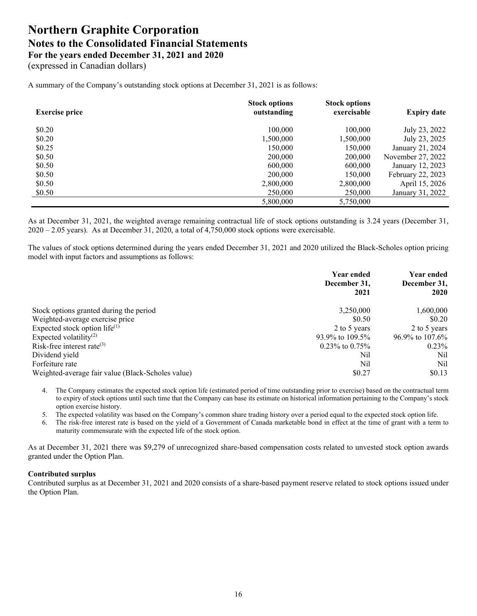(expressed in Canadian dollars)

A summary of the Company's outstanding stock options at December 31, 2021 is as follows:

| <b>Exercise price</b> | <b>Stock options</b><br>outstanding | <b>Stock options</b><br>exercisable | <b>Expiry date</b> |
|-----------------------|-------------------------------------|-------------------------------------|--------------------|
| \$0.20                | 100,000                             | 100,000                             | July 23, 2022      |
| \$0.20                | 1,500,000                           | 1,500,000                           | July 23, 2025      |
| \$0.25                | 150.000                             | 150,000                             | January 21, 2024   |
| \$0.50                | 200,000                             | 200,000                             | November 27, 2022  |
| \$0.50                | 600,000                             | 600,000                             | January 12, 2023   |
| \$0.50                | 200,000                             | 150,000                             | February 22, 2023  |
| \$0.50                | 2,800,000                           | 2,800,000                           | April 15, 2026     |
| \$0.50                | 250,000                             | 250,000                             | January 31, 2022   |
|                       | 5,800,000                           | 5,750,000                           |                    |

As at December 31, 2021, the weighted average remaining contractual life of stock options outstanding is 3.24 years (December 31,  $2020 - 2.05$  years). As at December 31, 2020, a total of 4,750,000 stock options were exercisable.

The values of stock options determined during the years ended December 31, 2021 and 2020 utilized the Black-Scholes option pricing model with input factors and assumptions as follows:

|                                                   | <b>Year ended</b><br>December 31,<br>2021 | Year ended<br>December 31,<br>2020 |
|---------------------------------------------------|-------------------------------------------|------------------------------------|
| Stock options granted during the period           | 3,250,000                                 | 1,600,000                          |
| Weighted-average exercise price                   | \$0.50                                    | \$0.20                             |
| Expected stock option life $(1)$                  | 2 to 5 years                              | 2 to 5 years                       |
| Expected volatility <sup>(2)</sup>                | 93.9% to 109.5%                           | $96.9\%$ to 107.6%                 |
| Risk-free interest rate $(3)$                     | $0.23\%$ to $0.75\%$                      | 0.23%                              |
| Dividend yield                                    | Nil                                       | Nil                                |
| Forfeiture rate                                   | Nil                                       | Nil                                |
| Weighted-average fair value (Black-Scholes value) | \$0.27                                    | \$0.13                             |

- 4. The Company estimates the expected stock option life (estimated period of time outstanding prior to exercise) based on the contractual term to expiry of stock options until such time that the Company can base its estimate on historical information pertaining to the Company's stock option exercise history.
- 5. The expected volatility was based on the Company's common share trading history over a period equal to the expected stock option life.
- 6. The risk-free interest rate is based on the yield of a Government of Canada marketable bond in effect at the time of grant with a term to maturity commensurate with the expected life of the stock option.

As at December 31, 2021 there was \$9,279 of unrecognized share-based compensation costs related to unvested stock option awards granted under the Option Plan.

#### **Contributed surplus**

Contributed surplus as at December 31, 2021 and 2020 consists of a share-based payment reserve related to stock options issued under the Option Plan.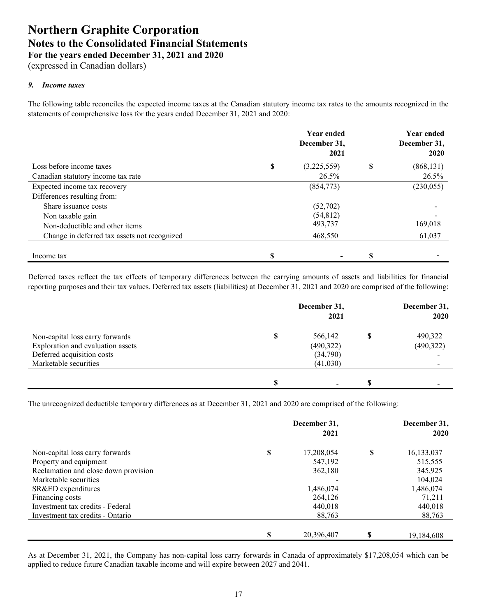**For the years ended December 31, 2021 and 2020**

(expressed in Canadian dollars)

#### *9. Income taxes*

The following table reconciles the expected income taxes at the Canadian statutory income tax rates to the amounts recognized in the statements of comprehensive loss for the years ended December 31, 2021 and 2020:

|                                              | <b>Year ended</b><br>December 31,<br>2021 | <b>Year ended</b><br>December 31,<br>2020 |
|----------------------------------------------|-------------------------------------------|-------------------------------------------|
| Loss before income taxes                     | \$<br>(3,225,559)                         | \$<br>(868, 131)                          |
| Canadian statutory income tax rate           | 26.5%                                     | 26.5%                                     |
| Expected income tax recovery                 | (854,773)                                 | (230, 055)                                |
| Differences resulting from:                  |                                           |                                           |
| Share issuance costs                         | (52,702)                                  |                                           |
| Non taxable gain                             | (54, 812)                                 |                                           |
| Non-deductible and other items               | 493,737                                   | 169,018                                   |
| Change in deferred tax assets not recognized | 468,550                                   | 61,037                                    |
| Income tax                                   |                                           |                                           |

Deferred taxes reflect the tax effects of temporary differences between the carrying amounts of assets and liabilities for financial reporting purposes and their tax values. Deferred tax assets (liabilities) at December 31, 2021 and 2020 are comprised of the following:

|                                   | December 31,<br>2021     |   | December 31,<br><b>2020</b> |
|-----------------------------------|--------------------------|---|-----------------------------|
| Non-capital loss carry forwards   | \$<br>566,142            | S | 490,322                     |
| Exploration and evaluation assets | (490, 322)               |   | (490, 322)                  |
| Deferred acquisition costs        | (34,790)                 |   |                             |
| Marketable securities             | (41,030)                 |   | -                           |
|                                   |                          |   |                             |
|                                   | $\overline{\phantom{0}}$ | S | -                           |

The unrecognized deductible temporary differences as at December 31, 2021 and 2020 are comprised of the following:

|                                      |   | December 31,<br>2021 |   | December 31,<br>2020 |
|--------------------------------------|---|----------------------|---|----------------------|
| Non-capital loss carry forwards      | S | 17,208,054           | S | 16,133,037           |
| Property and equipment               |   | 547,192              |   | 515,555              |
| Reclamation and close down provision |   | 362,180              |   | 345,925              |
| Marketable securities                |   |                      |   | 104,024              |
| SR&ED expenditures                   |   | 1,486,074            |   | 1,486,074            |
| Financing costs                      |   | 264,126              |   | 71,211               |
| Investment tax credits - Federal     |   | 440,018              |   | 440,018              |
| Investment tax credits - Ontario     |   | 88,763               |   | 88,763               |
|                                      | S | 20,396,407           | S | 19,184,608           |

As at December 31, 2021, the Company has non-capital loss carry forwards in Canada of approximately \$17,208,054 which can be applied to reduce future Canadian taxable income and will expire between 2027 and 2041.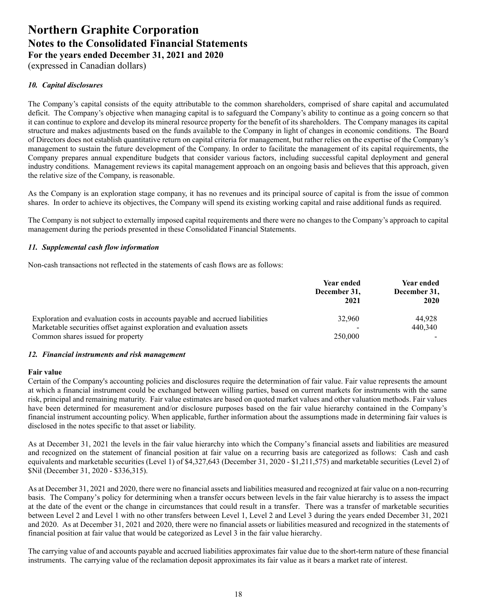### **For the years ended December 31, 2021 and 2020**

(expressed in Canadian dollars)

#### *10. Capital disclosures*

The Company's capital consists of the equity attributable to the common shareholders, comprised of share capital and accumulated deficit. The Company's objective when managing capital is to safeguard the Company's ability to continue as a going concern so that it can continue to explore and develop its mineral resource property for the benefit of its shareholders. The Company manages its capital structure and makes adjustments based on the funds available to the Company in light of changes in economic conditions. The Board of Directors does not establish quantitative return on capital criteria for management, but rather relies on the expertise of the Company's management to sustain the future development of the Company. In order to facilitate the management of its capital requirements, the Company prepares annual expenditure budgets that consider various factors, including successful capital deployment and general industry conditions. Management reviews its capital management approach on an ongoing basis and believes that this approach, given the relative size of the Company, is reasonable.

As the Company is an exploration stage company, it has no revenues and its principal source of capital is from the issue of common shares. In order to achieve its objectives, the Company will spend its existing working capital and raise additional funds as required.

The Company is not subject to externally imposed capital requirements and there were no changes to the Company's approach to capital management during the periods presented in these Consolidated Financial Statements.

#### *11. Supplemental cash flow information*

Non-cash transactions not reflected in the statements of cash flows are as follows:

|                                                                              | Year ended<br>December 31,<br>2021 | Year ended<br>December 31,<br><b>2020</b> |
|------------------------------------------------------------------------------|------------------------------------|-------------------------------------------|
| Exploration and evaluation costs in accounts payable and accrued liabilities | 32,960                             | 44.928                                    |
| Marketable securities offset against exploration and evaluation assets       |                                    | 440,340                                   |
| Common shares issued for property                                            | 250,000                            |                                           |

#### *12. Financial instruments and risk management*

#### **Fair value**

Certain of the Company's accounting policies and disclosures require the determination of fair value. Fair value represents the amount at which a financial instrument could be exchanged between willing parties, based on current markets for instruments with the same risk, principal and remaining maturity. Fair value estimates are based on quoted market values and other valuation methods. Fair values have been determined for measurement and/or disclosure purposes based on the fair value hierarchy contained in the Company's financial instrument accounting policy. When applicable, further information about the assumptions made in determining fair values is disclosed in the notes specific to that asset or liability.

As at December 31, 2021 the levels in the fair value hierarchy into which the Company's financial assets and liabilities are measured and recognized on the statement of financial position at fair value on a recurring basis are categorized as follows: Cash and cash equivalents and marketable securities (Level 1) of \$4,327,643 (December 31, 2020 - \$1,211,575) and marketable securities (Level 2) of \$Nil (December 31, 2020 - \$336,315).

As at December 31, 2021 and 2020, there were no financial assets and liabilities measured and recognized at fair value on a non-recurring basis. The Company's policy for determining when a transfer occurs between levels in the fair value hierarchy is to assess the impact at the date of the event or the change in circumstances that could result in a transfer. There was a transfer of marketable securities between Level 2 and Level 1 with no other transfers between Level 1, Level 2 and Level 3 during the years ended December 31, 2021 and 2020. As at December 31, 2021 and 2020, there were no financial assets or liabilities measured and recognized in the statements of financial position at fair value that would be categorized as Level 3 in the fair value hierarchy.

The carrying value of and accounts payable and accrued liabilities approximates fair value due to the short-term nature of these financial instruments. The carrying value of the reclamation deposit approximates its fair value as it bears a market rate of interest.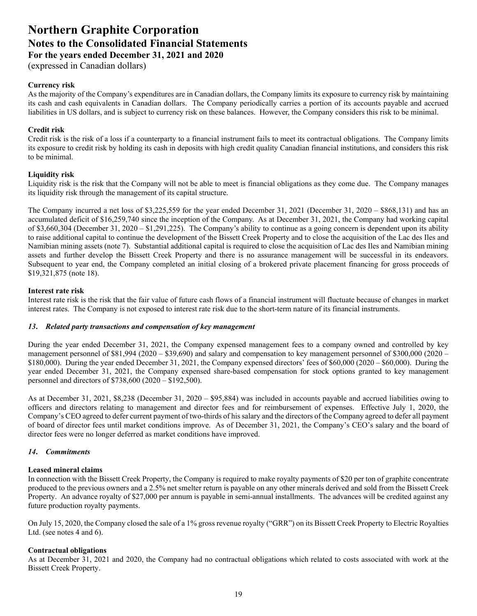(expressed in Canadian dollars)

#### **Currency risk**

As the majority of the Company's expenditures are in Canadian dollars, the Company limits its exposure to currency risk by maintaining its cash and cash equivalents in Canadian dollars. The Company periodically carries a portion of its accounts payable and accrued liabilities in US dollars, and is subject to currency risk on these balances. However, the Company considers this risk to be minimal.

#### **Credit risk**

Credit risk is the risk of a loss if a counterparty to a financial instrument fails to meet its contractual obligations. The Company limits its exposure to credit risk by holding its cash in deposits with high credit quality Canadian financial institutions, and considers this risk to be minimal.

#### **Liquidity risk**

Liquidity risk is the risk that the Company will not be able to meet is financial obligations as they come due. The Company manages its liquidity risk through the management of its capital structure.

The Company incurred a net loss of \$3,225,559 for the year ended December 31, 2021 (December 31, 2020 – \$868,131) and has an accumulated deficit of \$16,259,740 since the inception of the Company. As at December 31, 2021, the Company had working capital of \$3,660,304 (December 31, 2020 – \$1,291,225). The Company's ability to continue as a going concern is dependent upon its ability to raise additional capital to continue the development of the Bissett Creek Property and to close the acquisition of the Lac des Iles and Namibian mining assets (note 7). Substantial additional capital is required to close the acquisition of Lac des Iles and Namibian mining assets and further develop the Bissett Creek Property and there is no assurance management will be successful in its endeavors. Subsequent to year end, the Company completed an initial closing of a brokered private placement financing for gross proceeds of \$19,321,875 (note 18).

#### **Interest rate risk**

Interest rate risk is the risk that the fair value of future cash flows of a financial instrument will fluctuate because of changes in market interest rates. The Company is not exposed to interest rate risk due to the short-term nature of its financial instruments.

#### *13***.** *Related party transactions and compensation of key management*

During the year ended December 31, 2021, the Company expensed management fees to a company owned and controlled by key management personnel of \$81,994 (2020 – \$39,690) and salary and compensation to key management personnel of \$300,000 (2020 – \$180,000). During the year ended December 31, 2021, the Company expensed directors' fees of \$60,000 (2020 – \$60,000). During the year ended December 31, 2021, the Company expensed share-based compensation for stock options granted to key management personnel and directors of \$738,600 (2020 – \$192,500).

As at December 31, 2021, \$8,238 (December 31, 2020 – \$95,884) was included in accounts payable and accrued liabilities owing to officers and directors relating to management and director fees and for reimbursement of expenses. Effective July 1, 2020, the Company's CEO agreed to defer current payment of two-thirds of his salary and the directors of the Company agreed to defer all payment of board of director fees until market conditions improve. As of December 31, 2021, the Company's CEO's salary and the board of director fees were no longer deferred as market conditions have improved.

#### *14***.** *Commitments*

#### **Leased mineral claims**

In connection with the Bissett Creek Property, the Company is required to make royalty payments of \$20 per ton of graphite concentrate produced to the previous owners and a 2.5% net smelter return is payable on any other minerals derived and sold from the Bissett Creek Property. An advance royalty of \$27,000 per annum is payable in semi-annual installments. The advances will be credited against any future production royalty payments.

On July 15, 2020, the Company closed the sale of a 1% gross revenue royalty ("GRR") on its Bissett Creek Property to Electric Royalties Ltd. (see notes 4 and 6).

#### **Contractual obligations**

As at December 31, 2021 and 2020, the Company had no contractual obligations which related to costs associated with work at the Bissett Creek Property.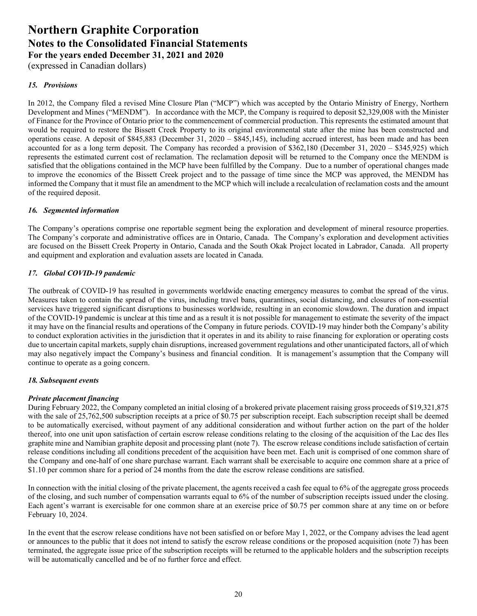(expressed in Canadian dollars)

#### *15. Provisions*

In 2012, the Company filed a revised Mine Closure Plan ("MCP") which was accepted by the Ontario Ministry of Energy, Northern Development and Mines ("MENDM"). In accordance with the MCP, the Company is required to deposit \$2,329,008 with the Minister of Finance for the Province of Ontario prior to the commencement of commercial production. This represents the estimated amount that would be required to restore the Bissett Creek Property to its original environmental state after the mine has been constructed and operations cease. A deposit of \$845,883 (December 31, 2020 – \$845,145), including accrued interest, has been made and has been accounted for as a long term deposit. The Company has recorded a provision of \$362,180 (December 31, 2020 – \$345,925) which represents the estimated current cost of reclamation. The reclamation deposit will be returned to the Company once the MENDM is satisfied that the obligations contained in the MCP have been fulfilled by the Company. Due to a number of operational changes made to improve the economics of the Bissett Creek project and to the passage of time since the MCP was approved, the MENDM has informed the Company that it must file an amendment to the MCP which will include a recalculation of reclamation costs and the amount of the required deposit.

#### *16. Segmented information*

The Company's operations comprise one reportable segment being the exploration and development of mineral resource properties. The Company's corporate and administrative offices are in Ontario, Canada. The Company's exploration and development activities are focused on the Bissett Creek Property in Ontario, Canada and the South Okak Project located in Labrador, Canada. All property and equipment and exploration and evaluation assets are located in Canada.

#### *17. Global COVID-19 pandemic*

The outbreak of COVID-19 has resulted in governments worldwide enacting emergency measures to combat the spread of the virus. Measures taken to contain the spread of the virus, including travel bans, quarantines, social distancing, and closures of non-essential services have triggered significant disruptions to businesses worldwide, resulting in an economic slowdown. The duration and impact of the COVID-19 pandemic is unclear at this time and as a result it is not possible for management to estimate the severity of the impact it may have on the financial results and operations of the Company in future periods. COVID-19 may hinder both the Company's ability to conduct exploration activities in the jurisdiction that it operates in and its ability to raise financing for exploration or operating costs due to uncertain capital markets, supply chain disruptions, increased government regulations and other unanticipated factors, all of which may also negatively impact the Company's business and financial condition. It is management's assumption that the Company will continue to operate as a going concern.

#### *18. Subsequent events*

#### *Private placement financing*

During February 2022, the Company completed an initial closing of a brokered private placement raising gross proceeds of \$19,321,875 with the sale of 25,762,500 subscription receipts at a price of \$0.75 per subscription receipt. Each subscription receipt shall be deemed to be automatically exercised, without payment of any additional consideration and without further action on the part of the holder thereof, into one unit upon satisfaction of certain escrow release conditions relating to the closing of the acquisition of the Lac des Iles graphite mine and Namibian graphite deposit and processing plant (note 7). The escrow release conditions include satisfaction of certain release conditions including all conditions precedent of the acquisition have been met. Each unit is comprised of one common share of the Company and one-half of one share purchase warrant. Each warrant shall be exercisable to acquire one common share at a price of \$1.10 per common share for a period of 24 months from the date the escrow release conditions are satisfied.

In connection with the initial closing of the private placement, the agents received a cash fee equal to 6% of the aggregate gross proceeds of the closing, and such number of compensation warrants equal to 6% of the number of subscription receipts issued under the closing. Each agent's warrant is exercisable for one common share at an exercise price of \$0.75 per common share at any time on or before February 10, 2024.

In the event that the escrow release conditions have not been satisfied on or before May 1, 2022, or the Company advises the lead agent or announces to the public that it does not intend to satisfy the escrow release conditions or the proposed acquisition (note 7) has been terminated, the aggregate issue price of the subscription receipts will be returned to the applicable holders and the subscription receipts will be automatically cancelled and be of no further force and effect.